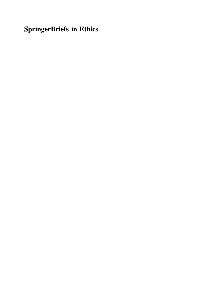SpringerBriefs in Ethics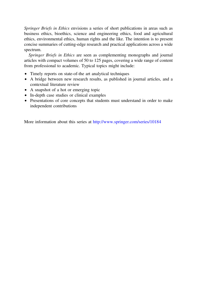Springer Briefs in Ethics envisions a series of short publications in areas such as business ethics, bioethics, science and engineering ethics, food and agricultural ethics, environmental ethics, human rights and the like. The intention is to present concise summaries of cutting-edge research and practical applications across a wide spectrum.

Springer Briefs in Ethics are seen as complementing monographs and journal articles with compact volumes of 50 to 125 pages, covering a wide range of content from professional to academic. Typical topics might include:

- Timely reports on state-of-the art analytical techniques
- A bridge between new research results, as published in journal articles, and a contextual literature review
- A snapshot of a hot or emerging topic
- In-depth case studies or clinical examples
- Presentations of core concepts that students must understand in order to make independent contributions

More information about this series at <http://www.springer.com/series/10184>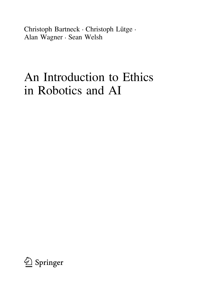Christoph Bartneck • Christoph Lütge • Alan Wagner • Sean Welsh

## An Introduction to Ethics in Robotics and AI

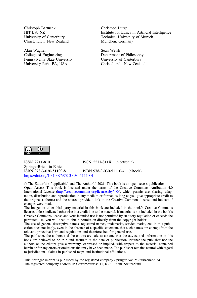Christoph Bartneck HIT Lab NZ University of Canterbury Christchurch, New Zealand

Alan Wagner College of Engineering Pennsylvania State University University Park, PA, USA

Christoph Lütge Institute for Ethics in Artificial Intelligence Technical University of Munich München, Germany

Sean Welsh Department of Philosophy University of Canterbury Christchurch, New Zealand



ISSN 2211-8101 ISSN 2211-811X (electronic) SpringerBriefs in Ethics<br>ISBN 978-3-030-51109-8 ISBN 978-3-030-51110-4 (eBook) <https://doi.org/10.1007/978-3-030-51110-4>

© The Editor(s) (if applicable) and The Author(s) 2021. This book is an open access publication.

Open Access This book is licensed under the terms of the Creative Commons Attribution 4.0 International License ([http://creativecommons.org/licenses/by/4.0/\)](http://creativecommons.org/licenses/by/4.0/), which permits use, sharing, adaptation, distribution and reproduction in any medium or format, as long as you give appropriate credit to the original author(s) and the source, provide a link to the Creative Commons license and indicate if changes were made.

The images or other third party material in this book are included in the book's Creative Commons license, unless indicated otherwise in a credit line to the material. If material is not included in the book's Creative Commons license and your intended use is not permitted by statutory regulation or exceeds the permitted use, you will need to obtain permission directly from the copyright holder.

The use of general descriptive names, registered names, trademarks, service marks, etc. in this publication does not imply, even in the absence of a specific statement, that such names are exempt from the relevant protective laws and regulations and therefore free for general use.

The publisher, the authors and the editors are safe to assume that the advice and information in this book are believed to be true and accurate at the date of publication. Neither the publisher nor the authors or the editors give a warranty, expressed or implied, with respect to the material contained herein or for any errors or omissions that may have been made. The publisher remains neutral with regard to jurisdictional claims in published maps and institutional affiliations.

This Springer imprint is published by the registered company Springer Nature Switzerland AG The registered company address is: Gewerbestrasse 11, 6330 Cham, Switzerland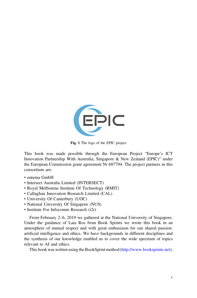

Fig. 1 The logo of the EPIC project

This book was made possible through the European Project "Europe's ICT Innovation Partnership With Australia, Singapore & New Zealand (EPIC)" under the European Commission grant agreement Nr 687794. The project partners in this consortium are:

- eutema GmbH
- Intersect Australia Limited (INTERSECT)
- Royal Melbourne Institute Of Technology (RMIT)
- Callaghan Innovation Research Limited (CAL)
- University Of Canterbury (UOC)
- National University Of Singapore (NUS)
- Institute For Infocomm Research (i2r)

From February 2–6, 2019 we gathered at the National University of Singapore. Under the guidance of Laia Ros from Book Sprints we wrote this book in an atmosphere of mutual respect and with great enthusiasm for our shared passion: artificial intelligence and ethics. We have backgrounds in different disciplines and the synthesis of our knowledge enabled us to cover the wide spectrum of topics relevant to AI and ethics.

This book was written using the BookSprint method [\(http://www.booksprints.net\)](http://www.booksprints.net).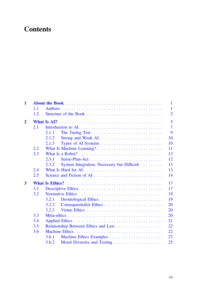## **Contents**

| $\blacksquare$ |      | $\mathbf{1}$                                               |  |
|----------------|------|------------------------------------------------------------|--|
|                | 1.1  | $\mathbf{1}$                                               |  |
|                | 1.2. | $\overline{2}$                                             |  |
| $\overline{2}$ |      | 5                                                          |  |
|                | 2.1  | $\overline{7}$                                             |  |
|                |      | 9<br>2.1.1                                                 |  |
|                |      | 10<br>2.1.2                                                |  |
|                |      | 10<br>2.1.3                                                |  |
|                | 2.2. | 11<br>What Is Machine Learning?                            |  |
|                | 2.3  | 12                                                         |  |
|                |      | 12<br>2.3.1<br>Sense-Plan-Act                              |  |
|                |      | 13<br>System Integration. Necessary but Difficult<br>2.3.2 |  |
|                | 2.4  | 13                                                         |  |
|                | 2.5  | 14                                                         |  |
| 3              |      | 17                                                         |  |
|                | 3.1  | 17                                                         |  |
|                | 3.2  | 19                                                         |  |
|                |      | 19<br>3.2.1<br>Deontological Ethics                        |  |
|                |      | 20<br>3.2.2                                                |  |
|                |      | 20<br>3.2.3                                                |  |
|                | 3.3  | 20                                                         |  |
|                | 3.4  | 21                                                         |  |
|                | 3.5  | 22<br>Relationship Between Ethics and Law                  |  |
|                | 3.6  | 22                                                         |  |
|                |      | 23<br>3.6.1                                                |  |
|                |      | 25<br>3.6.2                                                |  |
|                |      |                                                            |  |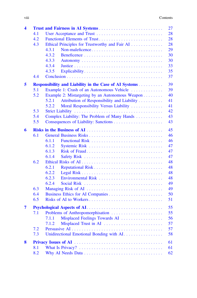| 4 |     | 27                                                                                                 |
|---|-----|----------------------------------------------------------------------------------------------------|
|   | 4.1 | 28                                                                                                 |
|   | 4.2 | Functional Elements of Trust<br>28                                                                 |
|   | 4.3 | Ethical Principles for Trustworthy and Fair AI<br>28                                               |
|   |     | 29<br>4.3.1<br>Non-maleficence                                                                     |
|   |     | 4.3.2<br>30<br>Beneficence $\ldots \ldots \ldots \ldots \ldots \ldots \ldots \ldots \ldots \ldots$ |
|   |     | 30<br>4.3.3                                                                                        |
|   |     | 33<br>4.3.4                                                                                        |
|   |     | 4.3.5<br>35<br>Explicability                                                                       |
|   | 4.4 | 37                                                                                                 |
| 5 |     | 39<br><b>Responsibility and Liability in the Case of AI Systems</b>                                |
|   | 5.1 | Example 1: Crash of an Autonomous Vehicle<br>39                                                    |
|   | 5.2 | 40<br>Example 2: Mistargeting by an Autonomous Weapon                                              |
|   |     | Attribution of Responsibility and Liability<br>41<br>5.2.1                                         |
|   |     | Moral Responsibility Versus Liability<br>41<br>5.2.2                                               |
|   | 5.3 | 42                                                                                                 |
|   | 5.4 | Complex Liability: The Problem of Many Hands<br>43                                                 |
|   | 5.5 | 43                                                                                                 |
|   |     |                                                                                                    |
| 6 |     | 45                                                                                                 |
|   | 6.1 | 46                                                                                                 |
|   |     | 46<br>6.1.1                                                                                        |
|   |     | 47<br>6.1.2                                                                                        |
|   |     | 47<br>6.1.3<br>Risk of Fraud                                                                       |
|   |     | 6.1.4<br>47                                                                                        |
|   | 6.2 | 48                                                                                                 |
|   |     | 6.2.1<br>48                                                                                        |
|   |     | 6.2.2<br>48                                                                                        |
|   |     | 48<br>6.2.3                                                                                        |
|   |     | 6.2.4<br>49<br>Social Risk                                                                         |
|   | 6.3 | 49                                                                                                 |
|   | 6.4 | 50                                                                                                 |
|   | 6.5 | Risks of AI to Workers<br>51                                                                       |
| 7 |     | 55                                                                                                 |
|   | 7.1 | Problems of Anthropomorphisation<br>55                                                             |
|   |     | 56<br>Misplaced Feelings Towards AI<br>7.1.1                                                       |
|   |     | Misplaced Trust in AI<br>7.1.2<br>57                                                               |
|   | 7.2 | 57                                                                                                 |
|   | 7.3 | Unidirectional Emotional Bonding with AI.<br>58                                                    |
| 8 |     | 61                                                                                                 |
|   | 8.1 | 61                                                                                                 |
|   | 8.2 | 62                                                                                                 |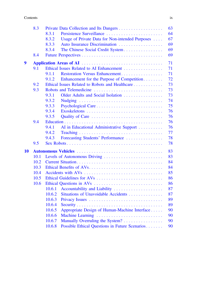## Contents ix

|    | 8.3  |                                                                                                         | 63 |
|----|------|---------------------------------------------------------------------------------------------------------|----|
|    |      | 8.3.1<br>Persistence Surveillance                                                                       | 64 |
|    |      | 8.3.2<br>Usage of Private Data for Non-intended Purposes                                                | 67 |
|    |      | 8.3.3                                                                                                   | 69 |
|    |      | 8.3.4<br>The Chinese Social Credit System                                                               | 69 |
|    | 8.4  |                                                                                                         | 69 |
| 9  |      |                                                                                                         | 71 |
|    | 9.1  | Ethical Issues Related to AI Enhancement                                                                | 71 |
|    |      | 9.1.1<br>Restoration Versus Enhancement.                                                                | 71 |
|    |      | 9.1.2<br>Enhancement for the Purpose of Competition                                                     | 72 |
|    | 9.2  | Ethical Issues Related to Robots and Healthcare                                                         | 73 |
|    | 9.3  |                                                                                                         | 73 |
|    |      | Older Adults and Social Isolation<br>9.3.1                                                              | 73 |
|    |      | 9.3.2<br><b>Nudging</b><br>والمتحاولة والمتحاولة والمتحاولة والمتحاولة والمتحاولة والمتحاولة والمتحاولة | 74 |
|    |      | 9.3.3                                                                                                   | 75 |
|    |      | 9.3.4                                                                                                   | 76 |
|    |      | 9.3.5<br>Quality of Care                                                                                | 76 |
|    | 9.4  |                                                                                                         | 76 |
|    |      | 9.4.1<br>AI in Educational Administrative Support                                                       | 76 |
|    |      | 9.4.2                                                                                                   | 77 |
|    |      | Forecasting Students' Performance<br>9.4.3                                                              | 78 |
|    | 9.5  |                                                                                                         | 78 |
| 10 |      |                                                                                                         | 83 |
|    | 10.1 | Levels of Autonomous Driving                                                                            | 83 |
|    | 10.2 |                                                                                                         | 84 |
|    | 10.3 |                                                                                                         | 84 |
|    | 10.4 |                                                                                                         | 85 |
|    | 10.5 |                                                                                                         | 86 |
|    | 10.6 | Ethical Questions in AVs                                                                                | 86 |
|    |      | 10.6.1<br>Accountability and Liability                                                                  | 87 |
|    |      | Situations of Unavoidable Accidents<br>10.6.2                                                           | 87 |
|    |      | 10.6.3                                                                                                  | 89 |
|    |      | 10.6.4                                                                                                  | 89 |
|    |      | Appropriate Design of Human-Machine Interface<br>10.6.5                                                 | 90 |
|    |      | 10.6.6                                                                                                  | 90 |
|    |      | Manually Overruling the System?<br>10.6.7                                                               | 90 |
|    |      | Possible Ethical Questions in Future Scenarios<br>10.6.8                                                | 90 |
|    |      |                                                                                                         |    |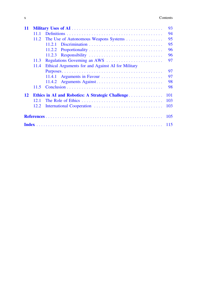| 11 |      |                                                   | 93  |
|----|------|---------------------------------------------------|-----|
|    | 11.1 |                                                   | 94  |
|    | 11.2 | The Use of Autonomous Weapons Systems             | 95  |
|    |      | 11.2.1                                            | 95  |
|    |      | 11.2.2                                            | 96  |
|    |      | 11.2.3<br>Responsibility                          | 96  |
|    | 11.3 | Regulations Governing an AWS                      | 97  |
|    | 11.4 | Ethical Arguments for and Against AI for Military |     |
|    |      |                                                   | 97  |
|    |      | 11.4.1                                            | 97  |
|    |      |                                                   | 98  |
|    | 11.5 |                                                   | 98  |
| 12 |      | Ethics in AI and Robotics: A Strategic Challenge  | 101 |
|    | 12.1 |                                                   | 103 |
|    | 12.2 |                                                   | 103 |
|    |      |                                                   | 105 |
|    |      |                                                   | 115 |